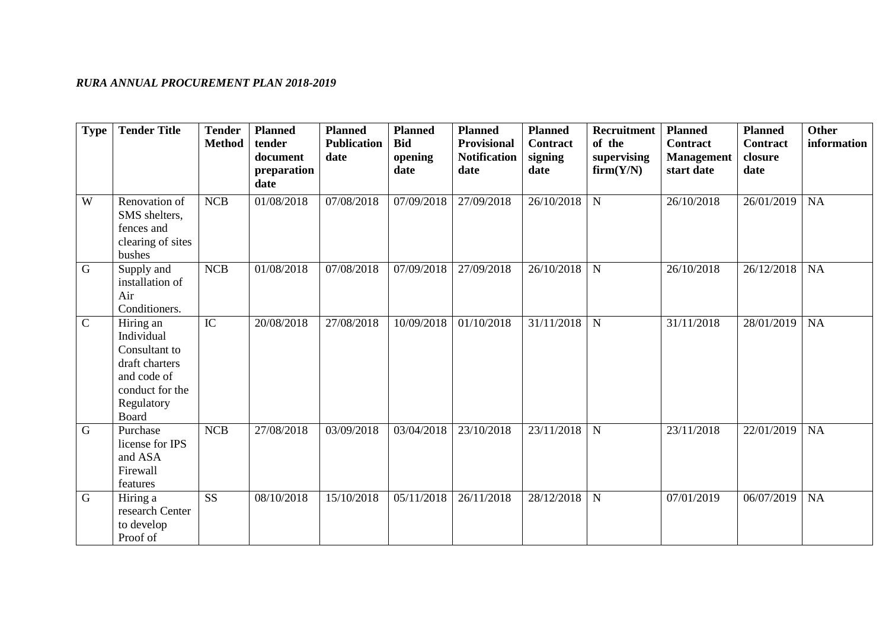## *RURA ANNUAL PROCUREMENT PLAN 2018-2019*

| <b>Type</b> | <b>Tender Title</b>                                                                                                 | <b>Tender</b><br><b>Method</b> | <b>Planned</b><br>tender<br>document | <b>Planned</b><br><b>Publication</b><br>date | <b>Planned</b><br><b>Bid</b><br>opening | <b>Planned</b><br><b>Provisional</b><br><b>Notification</b> | <b>Planned</b><br>Contract<br>signing | <b>Recruitment</b><br>of the<br>supervising | <b>Planned</b><br><b>Contract</b><br><b>Management</b> | <b>Planned</b><br>Contract<br>closure | <b>Other</b><br>information |
|-------------|---------------------------------------------------------------------------------------------------------------------|--------------------------------|--------------------------------------|----------------------------------------------|-----------------------------------------|-------------------------------------------------------------|---------------------------------------|---------------------------------------------|--------------------------------------------------------|---------------------------------------|-----------------------------|
|             |                                                                                                                     |                                | preparation<br>date                  |                                              | date                                    | date                                                        | date                                  | firm(Y/N)                                   | start date                                             | date                                  |                             |
| W           | Renovation of<br>SMS shelters,<br>fences and<br>clearing of sites<br>bushes                                         | <b>NCB</b>                     | 01/08/2018                           | 07/08/2018                                   | 07/09/2018                              | 27/09/2018                                                  | 26/10/2018                            | ${\bf N}$                                   | 26/10/2018                                             | 26/01/2019                            | <b>NA</b>                   |
| $\mathbf G$ | Supply and<br>installation of<br>Air<br>Conditioners.                                                               | ${\bf NCB}$                    | 01/08/2018                           | 07/08/2018                                   | 07/09/2018                              | 27/09/2018                                                  | 26/10/2018                            | ${\bf N}$                                   | 26/10/2018                                             | 26/12/2018                            | <b>NA</b>                   |
| $\mathbf C$ | Hiring an<br>Individual<br>Consultant to<br>draft charters<br>and code of<br>conduct for the<br>Regulatory<br>Board | IC                             | 20/08/2018                           | 27/08/2018                                   | 10/09/2018                              | 01/10/2018                                                  | 31/11/2018                            | ${\bf N}$                                   | 31/11/2018                                             | 28/01/2019                            | NA                          |
| $\mathbf G$ | Purchase<br>license for IPS<br>and ASA<br>Firewall<br>features                                                      | <b>NCB</b>                     | 27/08/2018                           | 03/09/2018                                   | 03/04/2018                              | 23/10/2018                                                  | 23/11/2018                            | ${\bf N}$                                   | 23/11/2018                                             | 22/01/2019                            | NA                          |
| $\mathbf G$ | Hiring a<br>research Center<br>to develop<br>Proof of                                                               | <b>SS</b>                      | 08/10/2018                           | 15/10/2018                                   | 05/11/2018                              | 26/11/2018                                                  | 28/12/2018                            | ${\bf N}$                                   | 07/01/2019                                             | 06/07/2019                            | <b>NA</b>                   |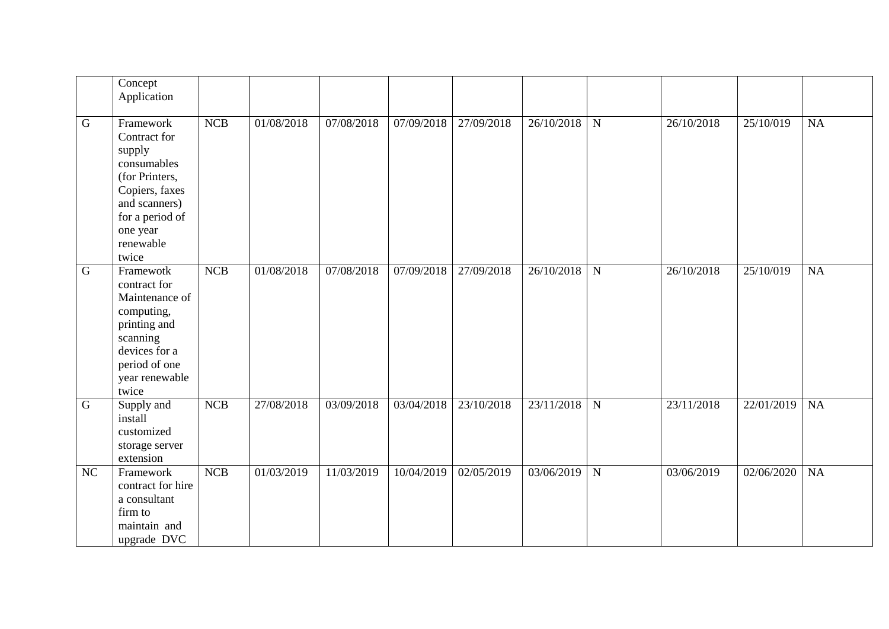|                | Concept<br>Application                                                                                                                                       |     |            |            |            |            |            |                |            |            |           |
|----------------|--------------------------------------------------------------------------------------------------------------------------------------------------------------|-----|------------|------------|------------|------------|------------|----------------|------------|------------|-----------|
| $\mathbf G$    | Framework<br>Contract for<br>supply<br>consumables<br>(for Printers,<br>Copiers, faxes<br>and scanners)<br>for a period of<br>one year<br>renewable<br>twice | NCB | 01/08/2018 | 07/08/2018 | 07/09/2018 | 27/09/2018 | 26/10/2018 | $\mathbf N$    | 26/10/2018 | 25/10/019  | NA        |
| $\overline{G}$ | Framewotk<br>contract for<br>Maintenance of<br>computing,<br>printing and<br>scanning<br>devices for a<br>period of one<br>year renewable<br>twice           | NCB | 01/08/2018 | 07/08/2018 | 07/09/2018 | 27/09/2018 | 26/10/2018 | $\overline{N}$ | 26/10/2018 | 25/10/019  | NA        |
| $\mathbf G$    | Supply and<br>install<br>customized<br>storage server<br>extension                                                                                           | NCB | 27/08/2018 | 03/09/2018 | 03/04/2018 | 23/10/2018 | 23/11/2018 | N              | 23/11/2018 | 22/01/2019 | <b>NA</b> |
| NC             | Framework<br>contract for hire<br>a consultant<br>firm to<br>maintain and<br>upgrade DVC                                                                     | NCB | 01/03/2019 | 11/03/2019 | 10/04/2019 | 02/05/2019 | 03/06/2019 | $\mathbf N$    | 03/06/2019 | 02/06/2020 | NA        |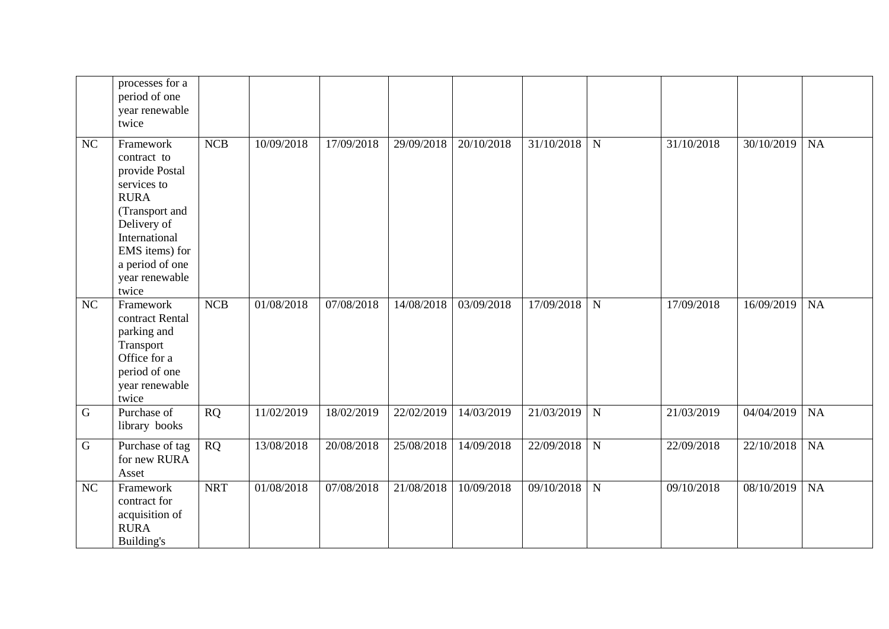|             | processes for a<br>period of one<br>year renewable<br>twice                                                                                                                                |            |            |            |            |            |            |             |            |            |    |
|-------------|--------------------------------------------------------------------------------------------------------------------------------------------------------------------------------------------|------------|------------|------------|------------|------------|------------|-------------|------------|------------|----|
| NC          | Framework<br>contract to<br>provide Postal<br>services to<br><b>RURA</b><br>(Transport and<br>Delivery of<br>International<br>EMS items) for<br>a period of one<br>year renewable<br>twice | <b>NCB</b> | 10/09/2018 | 17/09/2018 | 29/09/2018 | 20/10/2018 | 31/10/2018 | $\mathbf N$ | 31/10/2018 | 30/10/2019 | NA |
| NC          | Framework<br>contract Rental<br>parking and<br>Transport<br>Office for a<br>period of one<br>year renewable<br>twice                                                                       | NCB        | 01/08/2018 | 07/08/2018 | 14/08/2018 | 03/09/2018 | 17/09/2018 | $\mathbf N$ | 17/09/2018 | 16/09/2019 | NA |
| $\mathsf G$ | Purchase of<br>library books                                                                                                                                                               | <b>RQ</b>  | 11/02/2019 | 18/02/2019 | 22/02/2019 | 14/03/2019 | 21/03/2019 | $\mathbf N$ | 21/03/2019 | 04/04/2019 | NA |
| $\mathsf G$ | Purchase of tag<br>for new RURA<br>Asset                                                                                                                                                   | RQ         | 13/08/2018 | 20/08/2018 | 25/08/2018 | 14/09/2018 | 22/09/2018 | $\mathbf N$ | 22/09/2018 | 22/10/2018 | NA |
| NC          | Framework<br>contract for<br>acquisition of<br><b>RURA</b><br>Building's                                                                                                                   | <b>NRT</b> | 01/08/2018 | 07/08/2018 | 21/08/2018 | 10/09/2018 | 09/10/2018 | $\mathbf N$ | 09/10/2018 | 08/10/2019 | NA |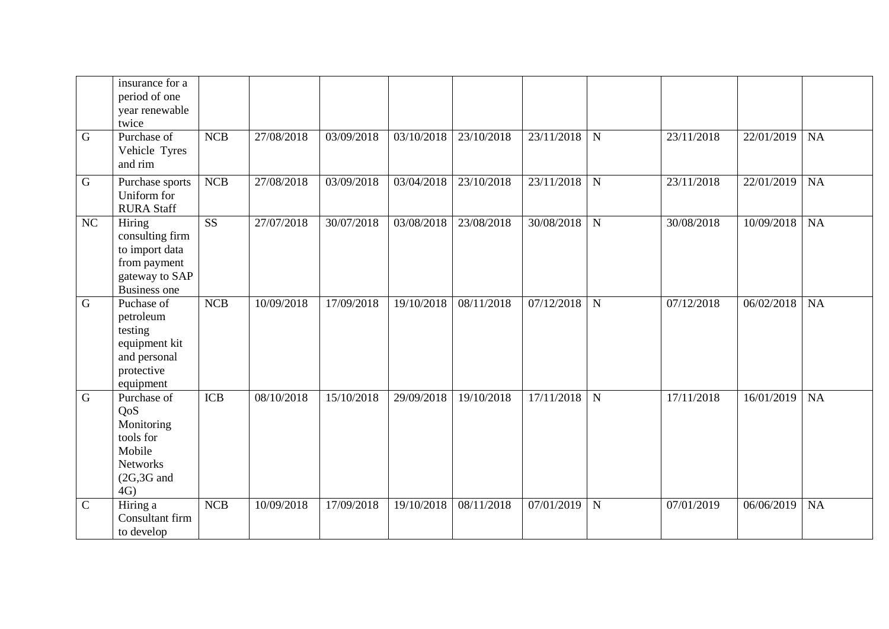|               | insurance for a<br>period of one<br>year renewable<br>twice                                          |                        |            |            |            |            |            |             |            |            |           |
|---------------|------------------------------------------------------------------------------------------------------|------------------------|------------|------------|------------|------------|------------|-------------|------------|------------|-----------|
| $\mathbf G$   | Purchase of<br>Vehicle Tyres<br>and rim                                                              | NCB                    | 27/08/2018 | 03/09/2018 | 03/10/2018 | 23/10/2018 | 23/11/2018 | $\mathbf N$ | 23/11/2018 | 22/01/2019 | <b>NA</b> |
| $\mathbf G$   | Purchase sports<br>Uniform for<br><b>RURA Staff</b>                                                  | <b>NCB</b>             | 27/08/2018 | 03/09/2018 | 03/04/2018 | 23/10/2018 | 23/11/2018 | $\mathbf N$ | 23/11/2018 | 22/01/2019 | <b>NA</b> |
| NC            | Hiring<br>consulting firm<br>to import data<br>from payment<br>gateway to SAP<br><b>Business one</b> | $\overline{\text{SS}}$ | 27/07/2018 | 30/07/2018 | 03/08/2018 | 23/08/2018 | 30/08/2018 | $\mathbf N$ | 30/08/2018 | 10/09/2018 | NA        |
| $\mathbf G$   | Puchase of<br>petroleum<br>testing<br>equipment kit<br>and personal<br>protective<br>equipment       | <b>NCB</b>             | 10/09/2018 | 17/09/2018 | 19/10/2018 | 08/11/2018 | 07/12/2018 | $\mathbf N$ | 07/12/2018 | 06/02/2018 | NA        |
| $\mathbf G$   | Purchase of<br>QoS<br>Monitoring<br>tools for<br>Mobile<br><b>Networks</b><br>$(2G, 3G$ and<br>4G)   | <b>ICB</b>             | 08/10/2018 | 15/10/2018 | 29/09/2018 | 19/10/2018 | 17/11/2018 | $\mathbf N$ | 17/11/2018 | 16/01/2019 | NA        |
| $\mathcal{C}$ | Hiring a<br>Consultant firm<br>to develop                                                            | <b>NCB</b>             | 10/09/2018 | 17/09/2018 | 19/10/2018 | 08/11/2018 | 07/01/2019 | $\mathbf N$ | 07/01/2019 | 06/06/2019 | NA        |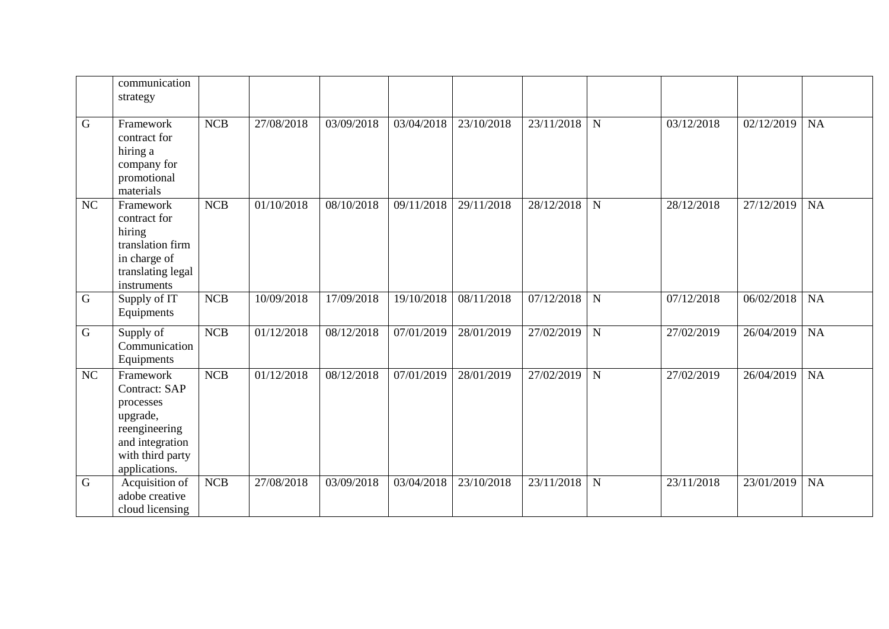|             | communication<br>strategy                                                                                                    |            |            |            |            |            |            |             |            |            |           |
|-------------|------------------------------------------------------------------------------------------------------------------------------|------------|------------|------------|------------|------------|------------|-------------|------------|------------|-----------|
| $\mathbf G$ | Framework<br>contract for<br>hiring a<br>company for<br>promotional<br>materials                                             | NCB        | 27/08/2018 | 03/09/2018 | 03/04/2018 | 23/10/2018 | 23/11/2018 | $\mathbf N$ | 03/12/2018 | 02/12/2019 | <b>NA</b> |
| NC          | Framework<br>contract for<br>hiring<br>translation firm<br>in charge of<br>translating legal<br>instruments                  | NCB        | 01/10/2018 | 08/10/2018 | 09/11/2018 | 29/11/2018 | 28/12/2018 | $\mathbf N$ | 28/12/2018 | 27/12/2019 | <b>NA</b> |
| $\mathbf G$ | Supply of IT<br>Equipments                                                                                                   | <b>NCB</b> | 10/09/2018 | 17/09/2018 | 19/10/2018 | 08/11/2018 | 07/12/2018 | $\mathbf N$ | 07/12/2018 | 06/02/2018 | <b>NA</b> |
| $\mathbf G$ | Supply of<br>Communication<br>Equipments                                                                                     | NCB        | 01/12/2018 | 08/12/2018 | 07/01/2019 | 28/01/2019 | 27/02/2019 | $\mathbf N$ | 27/02/2019 | 26/04/2019 | NA        |
| NC          | Framework<br>Contract: SAP<br>processes<br>upgrade,<br>reengineering<br>and integration<br>with third party<br>applications. | <b>NCB</b> | 01/12/2018 | 08/12/2018 | 07/01/2019 | 28/01/2019 | 27/02/2019 | $\mathbf N$ | 27/02/2019 | 26/04/2019 | NA        |
| $\mathbf G$ | Acquisition of<br>adobe creative<br>cloud licensing                                                                          | NCB        | 27/08/2018 | 03/09/2018 | 03/04/2018 | 23/10/2018 | 23/11/2018 | $\mathbf N$ | 23/11/2018 | 23/01/2019 | <b>NA</b> |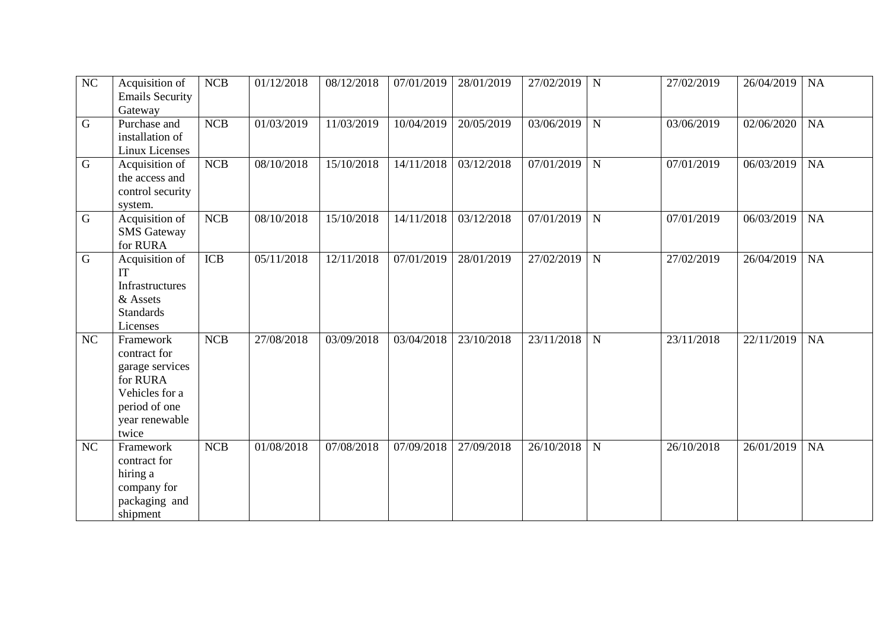| $\overline{NC}$ | Acquisition of<br><b>Emails Security</b><br>Gateway                                                                    | NCB        | 01/12/2018 | 08/12/2018 | 07/01/2019 | 28/01/2019 | 27/02/2019          | N           | 27/02/2019 | 26/04/2019 | <b>NA</b> |
|-----------------|------------------------------------------------------------------------------------------------------------------------|------------|------------|------------|------------|------------|---------------------|-------------|------------|------------|-----------|
| ${\bf G}$       | Purchase and<br>installation of<br>Linux Licenses                                                                      | NCB        | 01/03/2019 | 11/03/2019 | 10/04/2019 | 20/05/2019 | $\sqrt{03}/06/2019$ | ${\bf N}$   | 03/06/2019 | 02/06/2020 | NA        |
| $\mathbf G$     | Acquisition of<br>the access and<br>control security<br>system.                                                        | NCB        | 08/10/2018 | 15/10/2018 | 14/11/2018 | 03/12/2018 | 07/01/2019          | $\mathbf N$ | 07/01/2019 | 06/03/2019 | <b>NA</b> |
| $\mathbf G$     | Acquisition of<br><b>SMS</b> Gateway<br>for RURA                                                                       | NCB        | 08/10/2018 | 15/10/2018 | 14/11/2018 | 03/12/2018 | 07/01/2019          | $\mathbf N$ | 07/01/2019 | 06/03/2019 | <b>NA</b> |
| $\overline{G}$  | Acquisition of<br>IT<br>Infrastructures<br>& Assets<br><b>Standards</b><br>Licenses                                    | <b>ICB</b> | 05/11/2018 | 12/11/2018 | 07/01/2019 | 28/01/2019 | 27/02/2019          | ${\bf N}$   | 27/02/2019 | 26/04/2019 | <b>NA</b> |
| NC              | Framework<br>contract for<br>garage services<br>for RURA<br>Vehicles for a<br>period of one<br>year renewable<br>twice | <b>NCB</b> | 27/08/2018 | 03/09/2018 | 03/04/2018 | 23/10/2018 | 23/11/2018          | ${\bf N}$   | 23/11/2018 | 22/11/2019 | <b>NA</b> |
| NC              | Framework<br>contract for<br>hiring a<br>company for<br>packaging and<br>shipment                                      | NCB        | 01/08/2018 | 07/08/2018 | 07/09/2018 | 27/09/2018 | 26/10/2018          | ${\bf N}$   | 26/10/2018 | 26/01/2019 | NA        |